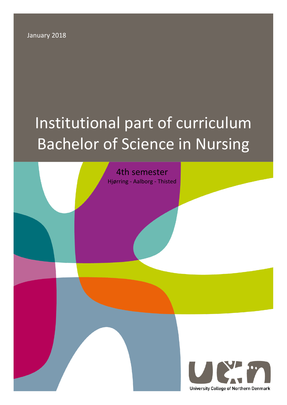January 2018

# Institutional part of curriculum Bachelor of Science in Nursing

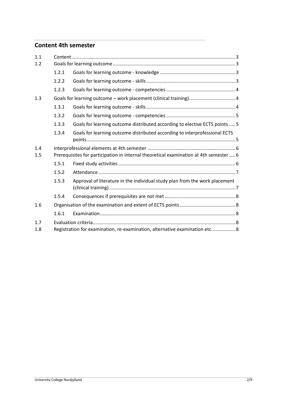# **Content 4th semester**

| 1.1        |                                                                                       |                                                                             |  |
|------------|---------------------------------------------------------------------------------------|-----------------------------------------------------------------------------|--|
| 1.2        |                                                                                       |                                                                             |  |
|            | 1.2.1                                                                                 |                                                                             |  |
|            | 1.2.2                                                                                 |                                                                             |  |
|            | 1.2.3                                                                                 |                                                                             |  |
| 1.3        |                                                                                       |                                                                             |  |
|            | 1.3.1                                                                                 |                                                                             |  |
|            | 1.3.2                                                                                 |                                                                             |  |
|            | 1.3.3                                                                                 | Goals for learning outcome distributed according to elective ECTS points  5 |  |
|            | 1.3.4                                                                                 | Goals for learning outcome distributed according to interprofessional ECTS  |  |
| 1.4<br>1.5 | Prerequisites for participation in internal theoretical examination at 4th semester 6 |                                                                             |  |
|            | 1.5.1                                                                                 |                                                                             |  |
|            | 1.5.2                                                                                 |                                                                             |  |
|            | 1.5.3                                                                                 | Approval of literature in the individual study plan from the work placement |  |
|            | 1.5.4                                                                                 |                                                                             |  |
| 1.6        |                                                                                       |                                                                             |  |
|            | 1.6.1                                                                                 |                                                                             |  |
| 1.7        |                                                                                       |                                                                             |  |
| 1.8        | Registration for examination, re-examination, alternative examination etc 8           |                                                                             |  |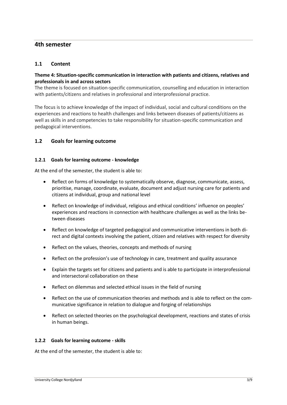# **4th semester**

## <span id="page-2-0"></span>**1.1 Content**

## **Theme 4: Situation-specific communication in interaction with patients and citizens, relatives and professionals in and across sectors**

The theme is focused on situation-specific communication, counselling and education in interaction with patients/citizens and relatives in professional and interprofessional practice.

The focus is to achieve knowledge of the impact of individual, social and cultural conditions on the experiences and reactions to health challenges and links between diseases of patients/citizens as well as skills in and competencies to take responsibility for situation-specific communication and pedagogical interventions.

## <span id="page-2-1"></span>**1.2 Goals for learning outcome**

#### <span id="page-2-2"></span>**1.2.1 Goals for learning outcome - knowledge**

At the end of the semester, the student is able to:

- Reflect on forms of knowledge to systematically observe, diagnose, communicate, assess, prioritise, manage, coordinate, evaluate, document and adjust nursing care for patients and citizens at individual, group and national level
- Reflect on knowledge of individual, religious and ethical conditions' influence on peoples' experiences and reactions in connection with healthcare challenges as well as the links between diseases
- Reflect on knowledge of targeted pedagogical and communicative interventions in both direct and digital contexts involving the patient, citizen and relatives with respect for diversity
- Reflect on the values, theories, concepts and methods of nursing
- Reflect on the profession's use of technology in care, treatment and quality assurance
- Explain the targets set for citizens and patients and is able to participate in interprofessional and intersectoral collaboration on these
- Reflect on dilemmas and selected ethical issues in the field of nursing
- Reflect on the use of communication theories and methods and is able to reflect on the communicative significance in relation to dialogue and forging of relationships
- Reflect on selected theories on the psychological development, reactions and states of crisis in human beings.

### <span id="page-2-3"></span>**1.2.2 Goals for learning outcome - skills**

At the end of the semester, the student is able to: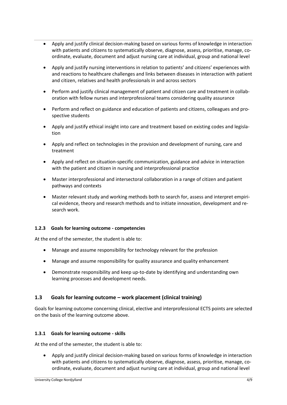- Apply and justify clinical decision-making based on various forms of knowledge in interaction with patients and citizens to systematically observe, diagnose, assess, prioritise, manage, coordinate, evaluate, document and adjust nursing care at individual, group and national level
- Apply and justify nursing interventions in relation to patients' and citizens' experiences with and reactions to healthcare challenges and links between diseases in interaction with patient and citizen, relatives and health professionals in and across sectors
- Perform and justify clinical management of patient and citizen care and treatment in collaboration with fellow nurses and interprofessional teams considering quality assurance
- Perform and reflect on guidance and education of patients and citizens, colleagues and prospective students
- Apply and justify ethical insight into care and treatment based on existing codes and legislation
- Apply and reflect on technologies in the provision and development of nursing, care and treatment
- Apply and reflect on situation-specific communication, guidance and advice in interaction with the patient and citizen in nursing and interprofessional practice
- Master interprofessional and intersectoral collaboration in a range of citizen and patient pathways and contexts
- Master relevant study and working methods both to search for, assess and interpret empirical evidence, theory and research methods and to initiate innovation, development and research work.

### <span id="page-3-0"></span>**1.2.3 Goals for learning outcome - competencies**

At the end of the semester, the student is able to:

- Manage and assume responsibility for technology relevant for the profession
- Manage and assume responsibility for quality assurance and quality enhancement
- Demonstrate responsibility and keep up-to-date by identifying and understanding own learning processes and development needs.

# <span id="page-3-1"></span>**1.3 Goals for learning outcome – work placement (clinical training)**

Goals for learning outcome concerning clinical, elective and interprofessional ECTS points are selected on the basis of the learning outcome above.

### <span id="page-3-2"></span>**1.3.1 Goals for learning outcome - skills**

At the end of the semester, the student is able to:

• Apply and justify clinical decision-making based on various forms of knowledge in interaction with patients and citizens to systematically observe, diagnose, assess, prioritise, manage, coordinate, evaluate, document and adjust nursing care at individual, group and national level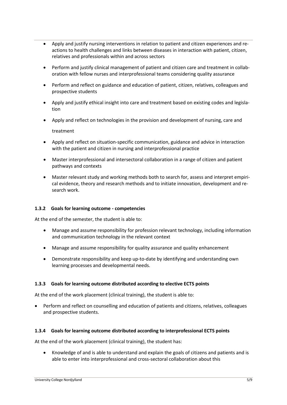- Apply and justify nursing interventions in relation to patient and citizen experiences and reactions to health challenges and links between diseases in interaction with patient, citizen, relatives and professionals within and across sectors
- Perform and justify clinical management of patient and citizen care and treatment in collaboration with fellow nurses and interprofessional teams considering quality assurance
- Perform and reflect on guidance and education of patient, citizen, relatives, colleagues and prospective students
- Apply and justify ethical insight into care and treatment based on existing codes and legislation
- Apply and reflect on technologies in the provision and development of nursing, care and treatment
- Apply and reflect on situation-specific communication, guidance and advice in interaction with the patient and citizen in nursing and interprofessional practice
- Master interprofessional and intersectoral collaboration in a range of citizen and patient pathways and contexts
- Master relevant study and working methods both to search for, assess and interpret empirical evidence, theory and research methods and to initiate innovation, development and research work.

# <span id="page-4-0"></span>**1.3.2 Goals for learning outcome - competencies**

At the end of the semester, the student is able to:

- Manage and assume responsibility for profession relevant technology, including information and communication technology in the relevant context
- Manage and assume responsibility for quality assurance and quality enhancement
- Demonstrate responsibility and keep up-to-date by identifying and understanding own learning processes and developmental needs.

### <span id="page-4-1"></span>**1.3.3 Goals for learning outcome distributed according to elective ECTS points**

At the end of the work placement (clinical training), the student is able to:

• Perform and reflect on counselling and education of patients and citizens, relatives, colleagues and prospective students.

### <span id="page-4-2"></span>**1.3.4 Goals for learning outcome distributed according to interprofessional ECTS points**

At the end of the work placement (clinical training), the student has:

• Knowledge of and is able to understand and explain the goals of citizens and patients and is able to enter into interprofessional and cross-sectoral collaboration about this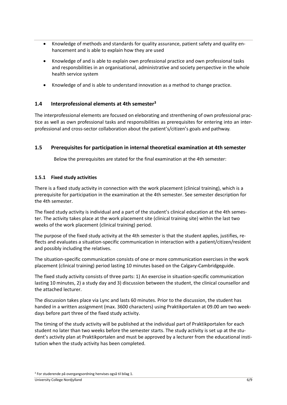- Knowledge of methods and standards for quality assurance, patient safety and quality enhancement and is able to explain how they are used
- Knowledge of and is able to explain own professional practice and own professional tasks and responsbilities in an organisational, administrative and society perspective in the whole health service system
- Knowledge of and is able to understand innovation as a method to change practice.

# <span id="page-5-0"></span>**1.4 Interprofessional elements at 4th semester<sup>3</sup>**

The interprofessional elements are focused on eleborating and strenthening of own professional practice as well as own professional tasks and responsibilities as prerequisites for entering into an interprofessional and cross-sector collaboration about the patient's/citizen's goals and pathway.

# <span id="page-5-1"></span>**1.5 Prerequisites for participation in internal theoretical examination at 4th semester**

Below the prerequisites are stated for the final examination at the 4th semester:

## <span id="page-5-2"></span>**1.5.1 Fixed study activities**

There is a fixed study activity in connection with the work placement (clinical training), which is a prerequisite for participation in the examination at the 4th semester. See semester description for the 4th semester.

The fixed study activity is individual and a part of the student's clinical education at the 4th semester. The activity takes place at the work placement site (clinical training site) within the last two weeks of the work placement (clinical training) period.

The purpose of the fixed study activity at the 4th semester is that the student applies, justifies, reflects and evaluates a situation-specific communication in interaction with a patient/citizen/resident and possibly including the relatives.

The situation-specific communication consists of one or more communication exercises in the work placement (clinical training) period lasting 10 minutes based on the Calgary-Cambridgeguide.

The fixed study activity consists of three parts: 1) An exercise in situation-specific communication lasting 10 minutes, 2) a study day and 3) discussion between the student, the clinical counsellor and the attached lecturer.

The discussion takes place via Lync and lasts 60 minutes. Prior to the discussion, the student has handed in a written assignment (max. 3600 characters) using Praktikportalen at 09.00 am two weekdays before part three of the fixed study activity.

The timing of the study activity will be published at the individual part of Praktikportalen for each student no later than two weeks before the semester starts. The study activity is set up at the student's activity plan at Praktikportalen and must be approved by a lecturer from the educational institution when the study activity has been completed.

<sup>3</sup> For studerende på overgangsordning henvises også til bilag 1.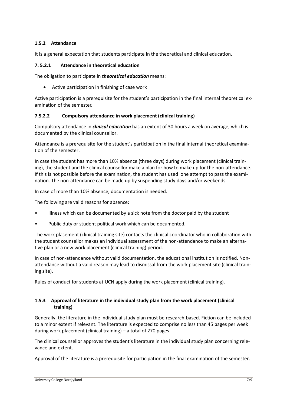# <span id="page-6-0"></span>**1.5.2 Attendance**

It is a general expectation that students participate in the theoretical and clinical education.

## **7. 5.2.1 Attendance in theoretical education**

The obligation to participate in *theoretical education* means:

• Active participation in finishing of case work

Active participation is a prerequisite for the student's participation in the final internal theoretical examination of the semester.

## **7.5.2.2 Compulsory attendance in work placement (clinical training)**

Compulsory attendance in *clinical education* has an extent of 30 hours a week on average, which is documented by the clinical counsellor.

Attendance is a prerequisite for the student's participation in the final internal theoretical examination of the semester.

In case the student has more than 10% absence (three days) during work placement (clinical training), the student and the clinical counsellor make a plan for how to make up for the non-attendance. If this is not possible before the examination, the student has used one attempt to pass the examination. The non-attendance can be made up by suspending study days and/or weekends.

In case of more than 10% absence, documentation is needed.

The following are valid reasons for absence:

- Illness which can be documented by a sick note from the doctor paid by the student
- Public duty or student political work which can be documented.

The work placement (clinical training site) contacts the clinical coordinator who in collaboration with the student counsellor makes an individual assessment of the non-attendance to make an alternative plan or a new work placement (clinical training) period.

In case of non-attendance without valid documentation, the educational institution is notified. Nonattendance without a valid reason may lead to dismissal from the work placement site (clinical training site).

Rules of conduct for students at UCN apply during the work placement (clinical training).

# <span id="page-6-1"></span>**1.5.3 Approval of literature in the individual study plan from the work placement (clinical training)**

Generally, the literature in the individual study plan must be research-based. Fiction can be included to a minor extent if relevant. The literature is expected to comprise no less than 45 pages per week during work placement (clinical training) – a total of 270 pages.

The clinical counsellor approves the student's literature in the individual study plan concerning relevance and extent.

Approval of the literature is a prerequisite for participation in the final examination of the semester.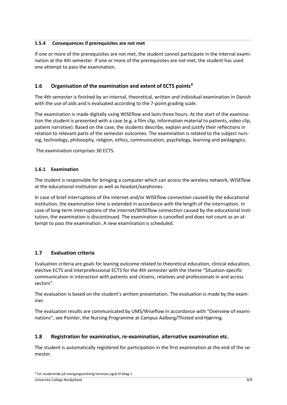# <span id="page-7-0"></span>**1.5.4 Consequences if prerequisites are not met**

If one or more of the prerequisites are not met, the student cannot participate in the internal examination at the 4th semester. If one or more of the prerequisites are not met, the student has used one attempt to pass the examination.

# <span id="page-7-1"></span>**1.6 Organisation of the examination and extent of ECTS points<sup>4</sup>**

The 4th semester is finished by an internal, theoretical, written and individual examination in Danish with the use of aids and is evaluated according to the 7-point grading scale.

The examination is made digitally using WISEflow and lasts three hours. At the start of the examination the student is presented with a case (e.g. a film clip, information material to patients, video clip, patient narrative). Based on the case, the students describe, explain and justify their reflections in relation to relevant parts of the semester outcomes. The examination is related to the subject nursing, technology, philosophy, religion, ethics, communication, psychology, learning and pedagogics.

The examination comprises 30 ECTS.

# <span id="page-7-2"></span>**1.6.1 Examination**

The student is responsible for bringing a computer which can access the wireless network, WISEflow at the educational institution as well as headset/earphones.

In case of brief interruptions of the internet and/or WISEflow connection caused by the educational institution, the examination time is extended in accordance with the length of the interruption. In case of long-term interruptions of the internet/WISEflow connection caused by the educational institution, the examination is discontinued. The examination is cancelled and does not count as an attempt to pass the examination. A new examination is scheduled.

# <span id="page-7-3"></span>**1.7 Evaluation criteria**

Evaluation criteria are goals for leaning outcome related to theoretical education, clinical education, elective ECTS and interprofessional ECTS for the 4th semester with the theme "Situation-specific communication in interaction with patients and citizens, relatives and professionals in and across sectors".

The evaluation is based on the student's written presentation. The evaluation is made by the examiner.

The evaluation results are communicated by UMS/Wiseflow in accordance with "Overview of examinations", see Pointer, the Nursing Programme at Campus Aalborg/Thisted and Hjørring.

# <span id="page-7-4"></span>**1.8 Registration for examination, re-examination, alternative examination etc.**

The student is automatically registered for participation in the first examination at the end of the semester.

<sup>4</sup> For studerende på overgangsordning henvises også til bilag 1